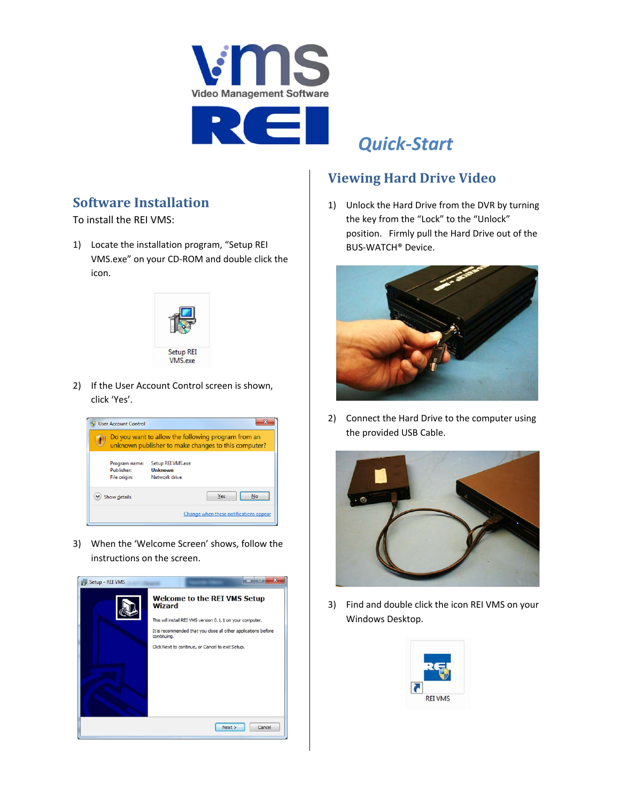

## *Quick‐Start*

## **Software Installation**

To install the REI VMS:

1) Locate the installation program, "Setup REI VMS.exe" on your CD‐ROM and double click the icon.



2) If the User Account Control screen is shown, click 'Yes'.



3) When the 'Welcome Screen' shows, follow the instructions on the screen.



## **Viewing Hard Drive Video**

1) Unlock the Hard Drive from the DVR by turning the key from the "Lock" to the "Unlock" position. Firmly pull the Hard Drive out of the BUS‐WATCH® Device.



2) Connect the Hard Drive to the computer using the provided USB Cable.



3) Find and double click the icon REI VMS on your Windows Desktop.